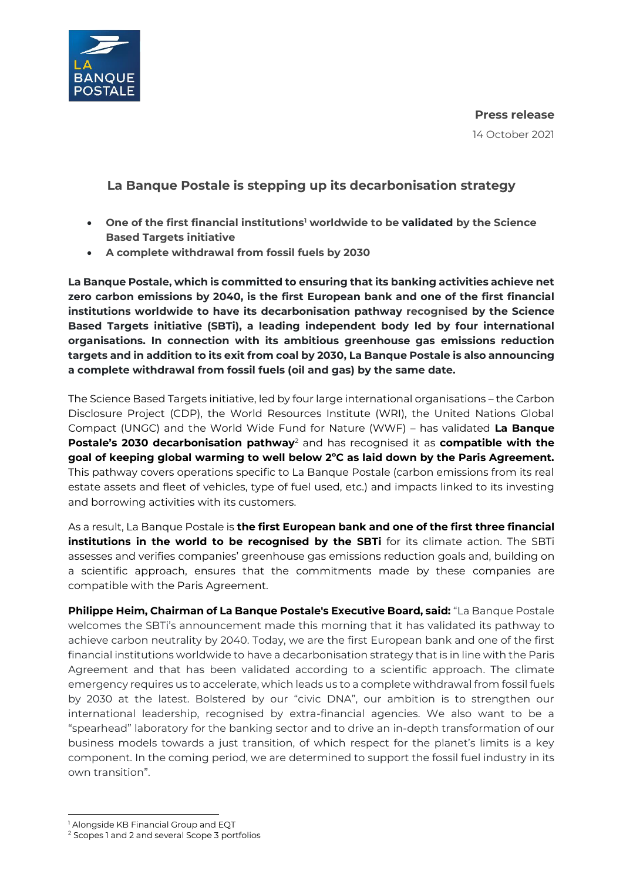

**Press release**

14 October 2021

# **La Banque Postale is stepping up its decarbonisation strategy**

- **One of the first financial institutions <sup>1</sup> worldwide to be validated by the Science Based Targets initiative**
- **A complete withdrawal from fossil fuels by 2030**

**La Banque Postale, which is committed to ensuring that its banking activities achieve net zero carbon emissions by 2040, is the first European bank and one of the first financial institutions worldwide to have its decarbonisation pathway recognised by the Science Based Targets initiative (SBTi), a leading independent body led by four international organisations. In connection with its ambitious greenhouse gas emissions reduction targets and in addition to its exit from coal by 2030, La Banque Postale is also announcing a complete withdrawal from fossil fuels (oil and gas) by the same date.**

The Science Based Targets initiative, led by four large international organisations – the Carbon Disclosure Project (CDP), the World Resources Institute (WRI), the United Nations Global Compact (UNGC) and the World Wide Fund for Nature (WWF) – has validated **La Banque Postale's 2030 decarbonisation pathway**<sup>2</sup> and has recognised it as **compatible with the goal of keeping global warming to well below 2ºC as laid down by the Paris Agreement.** This pathway covers operations specific to La Banque Postale (carbon emissions from its real estate assets and fleet of vehicles, type of fuel used, etc.) and impacts linked to its investing and borrowing activities with its customers.

As a result, La Banque Postale is **the first European bank and one of the first three financial institutions in the world to be recognised by the SBTi** for its climate action. The SBTi assesses and verifies companies' greenhouse gas emissions reduction goals and, building on a scientific approach, ensures that the commitments made by these companies are compatible with the Paris Agreement.

**Philippe Heim, Chairman of La Banque Postale's Executive Board, said:** "La Banque Postale welcomes the SBTi's announcement made this morning that it has validated its pathway to achieve carbon neutrality by 2040. Today, we are the first European bank and one of the first financial institutions worldwide to have a decarbonisation strategy that is in line with the Paris Agreement and that has been validated according to a scientific approach. The climate emergency requires us to accelerate, which leads us to a complete withdrawal from fossil fuels by 2030 at the latest. Bolstered by our "civic DNA", our ambition is to strengthen our international leadership, recognised by extra-financial agencies. We also want to be a "spearhead" laboratory for the banking sector and to drive an in-depth transformation of our business models towards a just transition, of which respect for the planet's limits is a key component. In the coming period, we are determined to support the fossil fuel industry in its own transition".

 $\overline{a}$ <sup>1</sup> Alongside KB Financial Group and EQT

<sup>2</sup> Scopes 1 and 2 and several Scope 3 portfolios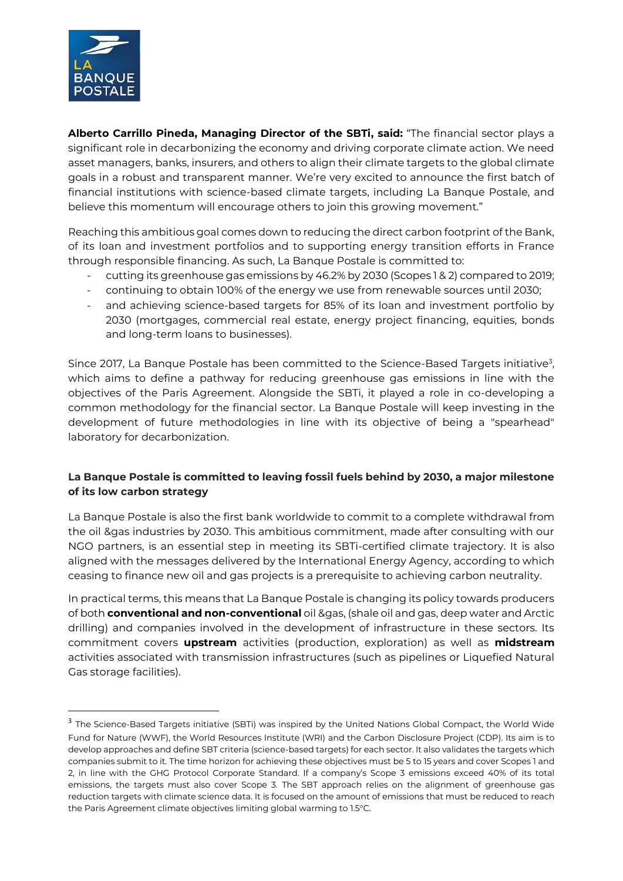

 $\ddot{\phantom{a}}$ 

**Alberto Carrillo Pineda, Managing Director of the SBTi, said:** "The financial sector plays a significant role in decarbonizing the economy and driving corporate climate action. We need asset managers, banks, insurers, and others to align their climate targets to the global climate goals in a robust and transparent manner. We're very excited to announce the first batch of financial institutions with science-based climate targets, including La Banque Postale, and believe this momentum will encourage others to join this growing movement."

Reaching this ambitious goal comes down to reducing the direct carbon footprint of the Bank, of its loan and investment portfolios and to supporting energy transition efforts in France through responsible financing. As such, La Banque Postale is committed to:

- cutting its greenhouse gas emissions by 46.2% by 2030 (Scopes 1 & 2) compared to 2019;
- continuing to obtain 100% of the energy we use from renewable sources until 2030;
- and achieving science-based targets for 85% of its loan and investment portfolio by 2030 (mortgages, commercial real estate, energy project financing, equities, bonds and long-term loans to businesses).

Since 2017, La Banque Postale has been committed to the Science-Based Targets initiative<sup>3</sup>, which aims to define a pathway for reducing greenhouse gas emissions in line with the objectives of the Paris Agreement. Alongside the SBTi, it played a role in co-developing a common methodology for the financial sector. La Banque Postale will keep investing in the development of future methodologies in line with its objective of being a "spearhead" laboratory for decarbonization.

## **La Banque Postale is committed to leaving fossil fuels behind by 2030, a major milestone of its low carbon strategy**

La Banque Postale is also the first bank worldwide to commit to a complete withdrawal from the oil &gas industries by 2030. This ambitious commitment, made after consulting with our NGO partners, is an essential step in meeting its SBTi-certified climate trajectory. It is also aligned with the messages delivered by the International Energy Agency, according to which ceasing to finance new oil and gas projects is a prerequisite to achieving carbon neutrality.

In practical terms, this means that La Banque Postale is changing its policy towards producers of both **conventional and non-conventional** oil &gas, (shale oil and gas, deep water and Arctic drilling) and companies involved in the development of infrastructure in these sectors. Its commitment covers **upstream** activities (production, exploration) as well as **midstream** activities associated with transmission infrastructures (such as pipelines or Liquefied Natural Gas storage facilities).

<sup>&</sup>lt;sup>3</sup> The Science-Based Targets initiative (SBTi) was inspired by the United Nations Global Compact, the World Wide Fund for Nature (WWF), the World Resources Institute (WRI) and the Carbon Disclosure Project (CDP). Its aim is to develop approaches and define SBT criteria (science-based targets) for each sector. It also validates the targets which companies submit to it. The time horizon for achieving these objectives must be 5 to 15 years and cover Scopes 1 and 2, in line with the GHG Protocol Corporate Standard. If a company's Scope 3 emissions exceed 40% of its total emissions, the targets must also cover Scope 3. The SBT approach relies on the alignment of greenhouse gas reduction targets with climate science data. It is focused on the amount of emissions that must be reduced to reach the Paris Agreement climate objectives limiting global warming to 1.5°C.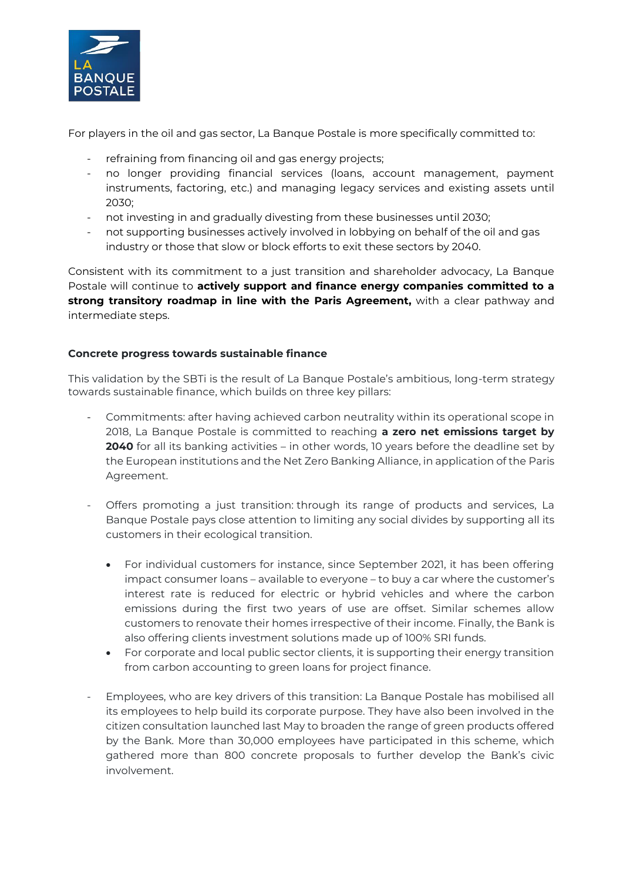

For players in the oil and gas sector, La Banque Postale is more specifically committed to:

- refraining from financing oil and gas energy projects;
- no longer providing financial services (loans, account management, payment instruments, factoring, etc.) and managing legacy services and existing assets until 2030;
- not investing in and gradually divesting from these businesses until 2030;
- not supporting businesses actively involved in lobbying on behalf of the oil and gas industry or those that slow or block efforts to exit these sectors by 2040.

Consistent with its commitment to a just transition and shareholder advocacy, La Banque Postale will continue to **actively support and finance energy companies committed to a strong transitory roadmap in line with the Paris Agreement,** with a clear pathway and intermediate steps.

## **Concrete progress towards sustainable finance**

This validation by the SBTi is the result of La Banque Postale's ambitious, long-term strategy towards sustainable finance, which builds on three key pillars:

- Commitments: after having achieved carbon neutrality within its operational scope in 2018, La Banque Postale is committed to reaching **a zero net emissions target by 2040** for all its banking activities – in other words, 10 years before the deadline set by the European institutions and the Net Zero Banking Alliance, in application of the Paris Agreement.
- Offers promoting a just transition: through its range of products and services, La Banque Postale pays close attention to limiting any social divides by supporting all its customers in their ecological transition.
	- For individual customers for instance, since September 2021, it has been offering impact consumer loans – available to everyone – to buy a car where the customer's interest rate is reduced for electric or hybrid vehicles and where the carbon emissions during the first two years of use are offset. Similar schemes allow customers to renovate their homes irrespective of their income. Finally, the Bank is also offering clients investment solutions made up of 100% SRI funds.
	- For corporate and local public sector clients, it is supporting their energy transition from carbon accounting to green loans for project finance.
	- Employees, who are key drivers of this transition: La Banque Postale has mobilised all its employees to help build its corporate purpose. They have also been involved in the citizen consultation launched last May to broaden the range of green products offered by the Bank. More than 30,000 employees have participated in this scheme, which gathered more than 800 concrete proposals to further develop the Bank's civic involvement.